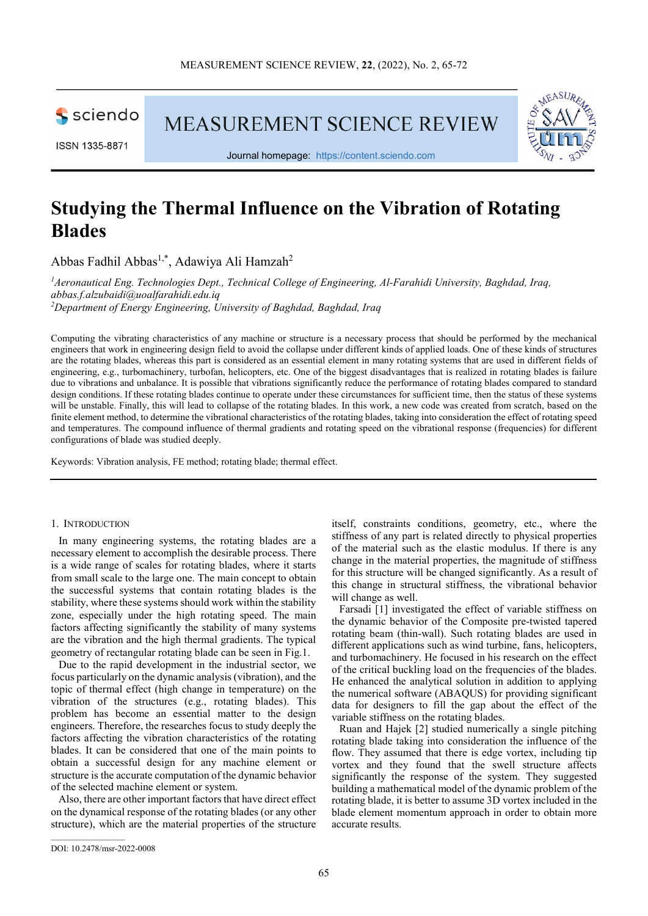

MEASUREMENT SCIENCE REVIEW



Journal homepage: [https://content.sciendo.com](https://content.sciendo.com/view/journals/msr/msr-overview.xml)

# **Studying the Thermal Influence on the Vibration of Rotating Blades**

Abbas Fadhil Abbas<sup>1,\*</sup>, Adawiya Ali Hamzah<sup>2</sup>

*1 Aeronautical Eng. Technologies Dept., Technical College of Engineering, Al-Farahidi University, Baghdad, Iraq, abbas.f.alzubaidi@uoalfarahidi.edu.iq 2 Department of Energy Engineering, University of Baghdad, Baghdad, Iraq*

Computing the vibrating characteristics of any machine or structure is a necessary process that should be performed by the mechanical engineers that work in engineering design field to avoid the collapse under different kinds of applied loads. One of these kinds of structures are the rotating blades, whereas this part is considered as an essential element in many rotating systems that are used in different fields of engineering, e.g., turbomachinery, turbofan, helicopters, etc. One of the biggest disadvantages that is realized in rotating blades is failure due to vibrations and unbalance. It is possible that vibrations significantly reduce the performance of rotating blades compared to standard design conditions. If these rotating blades continue to operate under these circumstances for sufficient time, then the status of these systems will be unstable. Finally, this will lead to collapse of the rotating blades. In this work, a new code was created from scratch, based on the finite element method, to determine the vibrational characteristics of the rotating blades, taking into consideration the effect of rotating speed and temperatures. The compound influence of thermal gradients and rotating speed on the vibrational response (frequencies) for different configurations of blade was studied deeply.

Keywords: Vibration analysis, FE method; rotating blade; thermal effect.

#### 1. INTRODUCTION

In many engineering systems, the rotating blades are a necessary element to accomplish the desirable process. There is a wide range of scales for rotating blades, where it starts from small scale to the large one. The main concept to obtain the successful systems that contain rotating blades is the stability, where these systems should work within the stability zone, especially under the high rotating speed. The main factors affecting significantly the stability of many systems are the vibration and the high thermal gradients. The typical geometry of rectangular rotating blade can be seen in Fig.1.

Due to the rapid development in the industrial sector, we focus particularly on the dynamic analysis (vibration), and the topic of thermal effect (high change in temperature) on the vibration of the structures (e.g., rotating blades). This problem has become an essential matter to the design engineers. Therefore, the researches focus to study deeply the factors affecting the vibration characteristics of the rotating blades. It can be considered that one of the main points to obtain a successful design for any machine element or structure is the accurate computation of the dynamic behavior of the selected machine element or system.

Also, there are other important factors that have direct effect on the dynamical response of the rotating blades (or any other structure), which are the material properties of the structure itself, constraints conditions, geometry, etc., where the stiffness of any part is related directly to physical properties of the material such as the elastic modulus. If there is any change in the material properties, the magnitude of stiffness for this structure will be changed significantly. As a result of this change in structural stiffness, the vibrational behavior will change as well.

Farsadi [1] investigated the effect of variable stiffness on the dynamic behavior of the Composite pre-twisted tapered rotating beam (thin-wall). Such rotating blades are used in different applications such as wind turbine, fans, helicopters, and turbomachinery. He focused in his research on the effect of the critical buckling load on the frequencies of the blades. He enhanced the analytical solution in addition to applying the numerical software (ABAQUS) for providing significant data for designers to fill the gap about the effect of the variable stiffness on the rotating blades.

Ruan and Hajek [2] studied numerically a single pitching rotating blade taking into consideration the influence of the flow. They assumed that there is edge vortex, including tip vortex and they found that the swell structure affects significantly the response of the system. They suggested building a mathematical model of the dynamic problem of the rotating blade, it is better to assume 3D vortex included in the blade element momentum approach in order to obtain more accurate results.

 $\overline{\phantom{a}}$  ,  $\overline{\phantom{a}}$  ,  $\overline{\phantom{a}}$  ,  $\overline{\phantom{a}}$  ,  $\overline{\phantom{a}}$  ,  $\overline{\phantom{a}}$  ,  $\overline{\phantom{a}}$  ,  $\overline{\phantom{a}}$  ,  $\overline{\phantom{a}}$  ,  $\overline{\phantom{a}}$  ,  $\overline{\phantom{a}}$  ,  $\overline{\phantom{a}}$  ,  $\overline{\phantom{a}}$  ,  $\overline{\phantom{a}}$  ,  $\overline{\phantom{a}}$  ,  $\overline{\phantom{a}}$ 

DOI: 10.2478/msr-2022-0008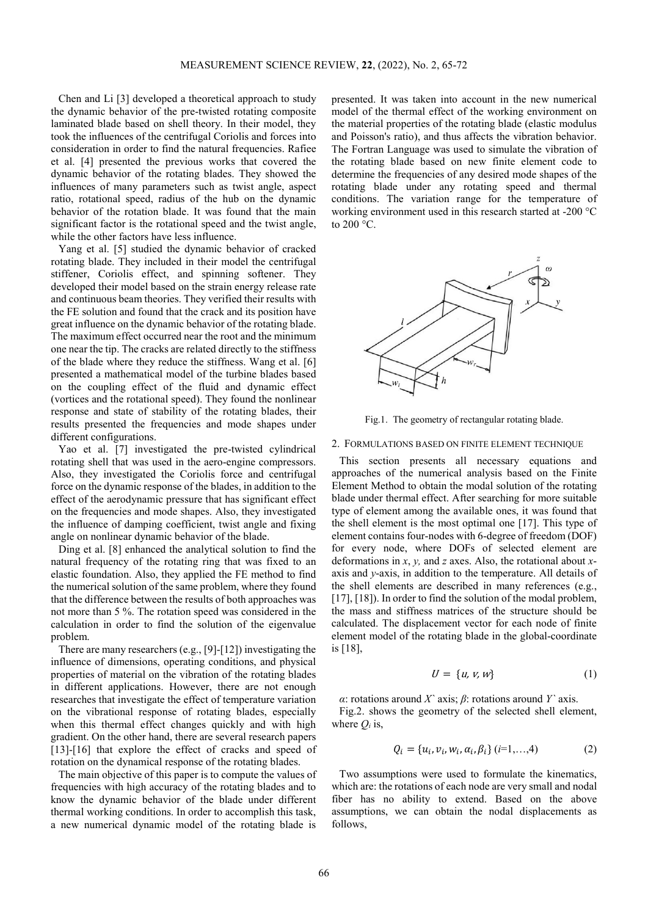Chen and Li [3] developed a theoretical approach to study the dynamic behavior of the pre-twisted rotating composite laminated blade based on shell theory. In their model, they took the influences of the centrifugal Coriolis and forces into consideration in order to find the natural frequencies. Rafiee et al. [4] presented the previous works that covered the dynamic behavior of the rotating blades. They showed the influences of many parameters such as twist angle, aspect ratio, rotational speed, radius of the hub on the dynamic behavior of the rotation blade. It was found that the main significant factor is the rotational speed and the twist angle, while the other factors have less influence.

Yang et al. [5] studied the dynamic behavior of cracked rotating blade. They included in their model the centrifugal stiffener, Coriolis effect, and spinning softener. They developed their model based on the strain energy release rate and continuous beam theories. They verified their results with the FE solution and found that the crack and its position have great influence on the dynamic behavior of the rotating blade. The maximum effect occurred near the root and the minimum one near the tip. The cracks are related directly to the stiffness of the blade where they reduce the stiffness. Wang et al. [6] presented a mathematical model of the turbine blades based on the coupling effect of the fluid and dynamic effect (vortices and the rotational speed). They found the nonlinear response and state of stability of the rotating blades, their results presented the frequencies and mode shapes under different configurations.

Yao et al. [7] investigated the pre-twisted cylindrical rotating shell that was used in the aero-engine compressors. Also, they investigated the Coriolis force and centrifugal force on the dynamic response of the blades, in addition to the effect of the aerodynamic pressure that has significant effect on the frequencies and mode shapes. Also, they investigated the influence of damping coefficient, twist angle and fixing angle on nonlinear dynamic behavior of the blade.

Ding et al. [8] enhanced the analytical solution to find the natural frequency of the rotating ring that was fixed to an elastic foundation. Also, they applied the FE method to find the numerical solution of the same problem, where they found that the difference between the results of both approaches was not more than 5 %. The rotation speed was considered in the calculation in order to find the solution of the eigenvalue problem.

There are many researchers (e.g., [9]-[12]) investigating the influence of dimensions, operating conditions, and physical properties of material on the vibration of the rotating blades in different applications. However, there are not enough researches that investigate the effect of temperature variation on the vibrational response of rotating blades, especially when this thermal effect changes quickly and with high gradient. On the other hand, there are several research papers [13]-[16] that explore the effect of cracks and speed of rotation on the dynamical response of the rotating blades.

The main objective of this paper is to compute the values of frequencies with high accuracy of the rotating blades and to know the dynamic behavior of the blade under different thermal working conditions. In order to accomplish this task, a new numerical dynamic model of the rotating blade is

presented. It was taken into account in the new numerical model of the thermal effect of the working environment on the material properties of the rotating blade (elastic modulus and Poisson's ratio), and thus affects the vibration behavior. The Fortran Language was used to simulate the vibration of the rotating blade based on new finite element code to determine the frequencies of any desired mode shapes of the rotating blade under any rotating speed and thermal conditions. The variation range for the temperature of working environment used in this research started at -200 °C to  $200 °C$ .



Fig.1. The geometry of rectangular rotating blade.

### 2. FORMULATIONS BASED ON FINITE ELEMENT TECHNIQUE

This section presents all necessary equations and approaches of the numerical analysis based on the Finite Element Method to obtain the modal solution of the rotating blade under thermal effect. After searching for more suitable type of element among the available ones, it was found that the shell element is the most optimal one [17]. This type of element contains four-nodes with 6-degree of freedom (DOF) for every node, where DOFs of selected element are deformations in *x*, *y,* and *z* axes. Also, the rotational about *x*axis and *y*-axis, in addition to the temperature. All details of the shell elements are described in many references (e.g., [17], [18]). In order to find the solution of the modal problem, the mass and stiffness matrices of the structure should be calculated. The displacement vector for each node of finite element model of the rotating blade in the global-coordinate is [18],

$$
U = \{u, v, w\} \tag{1}
$$

*α*: rotations around *X`* axis; *β*: rotations around *Y`* axis.

Fig.2. shows the geometry of the selected shell element, where  $O_i$  is,

$$
Q_i = \{u_i, v_i, w_i, \alpha_i, \beta_i\} \ (i=1,...,4)
$$
 (2)

Two assumptions were used to formulate the kinematics, which are: the rotations of each node are very small and nodal fiber has no ability to extend. Based on the above assumptions, we can obtain the nodal displacements as follows,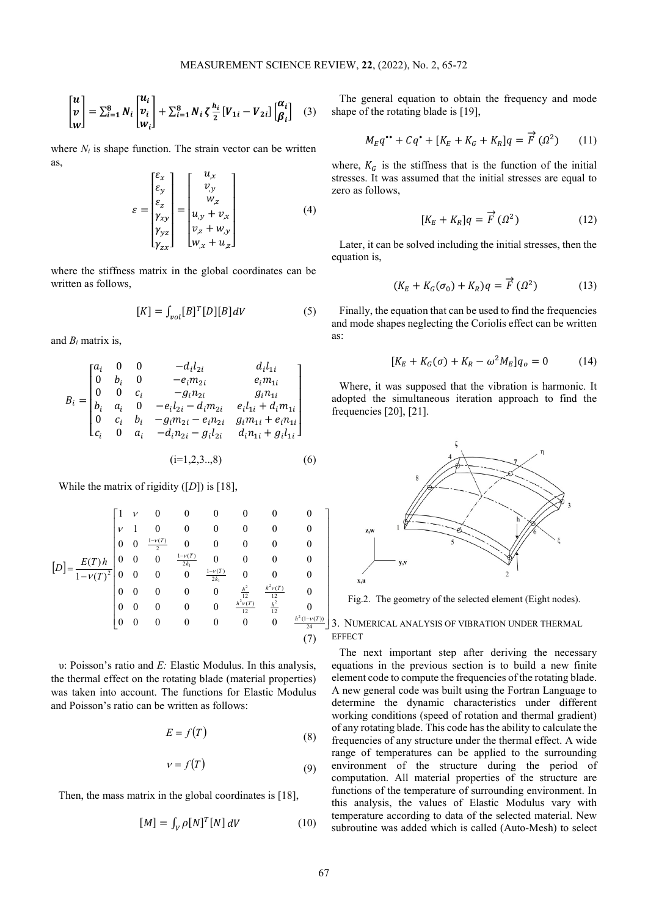$$
\begin{bmatrix} u \\ v \\ w \end{bmatrix} = \sum_{i=1}^{8} N_i \begin{bmatrix} u_i \\ v_i \\ w_i \end{bmatrix} + \sum_{i=1}^{8} N_i \zeta \frac{h_i}{2} \begin{bmatrix} V_{1i} - V_{2i} \end{bmatrix} \begin{bmatrix} \alpha_i \\ \beta_i \end{bmatrix} \tag{3}
$$

where  $N_i$  is shape function. The strain vector can be written as,

$$
\varepsilon = \begin{bmatrix} \varepsilon_x \\ \varepsilon_y \\ \varepsilon_z \\ \gamma_{xy} \\ \gamma_{yz} \\ \gamma_{zx} \end{bmatrix} = \begin{bmatrix} u_{,x} \\ v_{,y} \\ w_{,z} \\ u_{,y} + v_{,x} \\ v_{,z} + w_{,y} \\ w_{,x} + u_{,z} \end{bmatrix}
$$
(4)

where the stiffness matrix in the global coordinates can be written as follows,

$$
[K] = \int_{vol}[B]^T[D][B]dV \tag{5}
$$

and  $B_i$  matrix is,

$$
B_{i} = \begin{bmatrix} a_{i} & 0 & 0 & -d_{i}l_{2i} & d_{i}l_{1i} \\ 0 & b_{i} & 0 & -e_{i}m_{2i} & e_{i}m_{1i} \\ 0 & 0 & c_{i} & -g_{i}n_{2i} & g_{i}n_{1i} \\ b_{i} & a_{i} & 0 & -e_{i}l_{2i} - d_{i}m_{2i} & e_{i}l_{1i} + d_{i}m_{1i} \\ 0 & c_{i} & b_{i} & -g_{i}m_{2i} - e_{i}n_{2i} & g_{i}m_{1i} + e_{i}n_{1i} \\ c_{i} & 0 & a_{i} & -d_{i}n_{2i} - g_{i}l_{2i} & d_{i}n_{1i} + g_{i}l_{1i} \end{bmatrix}
$$
  
(i=1,2,3...,8) (6)

While the matrix of rigidity ([*D*]) is [18],

$$
[D] = \frac{E(T)h}{1 - v(T)^{2}} \begin{bmatrix} 1 & v & 0 & 0 & 0 & 0 & 0 & 0 & 0 \\ v & 1 & 0 & 0 & 0 & 0 & 0 & 0 & 0 \\ 0 & 0 & \frac{1 - v(T)}{2} & 0 & 0 & 0 & 0 & 0 & 0 \\ 0 & 0 & 0 & \frac{1 - v(T)}{2k_{1}} & 0 & 0 & 0 & 0 & 0 \\ 0 & 0 & 0 & 0 & \frac{1 - v(T)}{2k_{1}} & 0 & 0 & 0 & 0 \\ 0 & 0 & 0 & 0 & 0 & \frac{h^{2}}{12} & \frac{h^{2}v(T)}{12} & 0 \\ 0 & 0 & 0 & 0 & 0 & 0 & 0 & \frac{h^{2}(v(T))}{24} & 0 \\ 0 & 0 & 0 & 0 & 0 & 0 & 0 & \frac{h^{2}(v(T))}{24} & 0 \end{bmatrix}
$$
(7)

υ: Poisson's ratio and *E:* Elastic Modulus. In this analysis, the thermal effect on the rotating blade (material properties) was taken into account. The functions for Elastic Modulus and Poisson's ratio can be written as follows:

$$
E = f(T) \tag{8}
$$

$$
v = f(T) \tag{9}
$$

Then, the mass matrix in the global coordinates is [18],

$$
[M] = \int_{V} \rho [N]^T [N] dV \qquad (10)
$$

The general equation to obtain the frequency and mode shape of the rotating blade is [19],

$$
M_E q^{\bullet \bullet} + Cq^{\bullet} + [K_E + K_G + K_R]q = \vec{F} \left( \Omega^2 \right) \tag{11}
$$

where,  $K_G$  is the stiffness that is the function of the initial stresses. It was assumed that the initial stresses are equal to zero as follows,

$$
[K_E + K_R]q = \vec{F} \ ( \Omega^2)
$$
 (12)

Later, it can be solved including the initial stresses, then the equation is,

$$
(K_E + K_G(\sigma_0) + K_R)q = \vec{F}(\Omega^2)
$$
 (13)

Finally, the equation that can be used to find the frequencies and mode shapes neglecting the Coriolis effect can be written as:

$$
[K_E + K_G(\sigma) + K_R - \omega^2 M_E] q_o = 0 \tag{14}
$$

Where, it was supposed that the vibration is harmonic. It adopted the simultaneous iteration approach to find the frequencies [20], [21].



Fig.2. The geometry of the selected element (Eight nodes).

# 3. NUMERICAL ANALYSIS OF VIBRATION UNDER THERMAL **EFFECT**

The next important step after deriving the necessary equations in the previous section is to build a new finite element code to compute the frequencies of the rotating blade. A new general code was built using the Fortran Language to determine the dynamic characteristics under different working conditions (speed of rotation and thermal gradient) of any rotating blade. This code has the ability to calculate the frequencies of any structure under the thermal effect. A wide range of temperatures can be applied to the surrounding environment of the structure during the period of computation. All material properties of the structure are functions of the temperature of surrounding environment. In this analysis, the values of Elastic Modulus vary with temperature according to data of the selected material. New subroutine was added which is called (Auto-Mesh) to select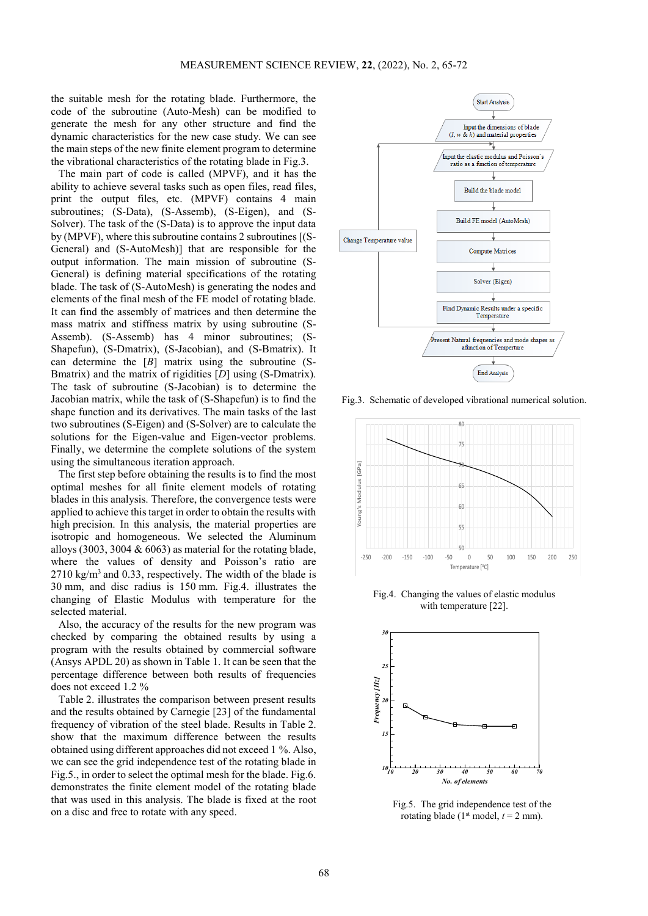the suitable mesh for the rotating blade. Furthermore, the code of the subroutine (Auto-Mesh) can be modified to generate the mesh for any other structure and find the dynamic characteristics for the new case study. We can see the main steps of the new finite element program to determine the vibrational characteristics of the rotating blade in Fig.3.

The main part of code is called (MPVF), and it has the ability to achieve several tasks such as open files, read files, print the output files, etc. (MPVF) contains 4 main subroutines; (S-Data), (S-Assemb), (S-Eigen), and (S-Solver). The task of the (S-Data) is to approve the input data by (MPVF), where this subroutine contains 2 subroutines [(S-General) and (S-AutoMesh)] that are responsible for the output information. The main mission of subroutine (S-General) is defining material specifications of the rotating blade. The task of (S-AutoMesh) is generating the nodes and elements of the final mesh of the FE model of rotating blade. It can find the assembly of matrices and then determine the mass matrix and stiffness matrix by using subroutine (S-Assemb). (S-Assemb) has 4 minor subroutines; (S-Shapefun), (S-Dmatrix), (S-Jacobian), and (S-Bmatrix). It can determine the [*B*] matrix using the subroutine (S-Bmatrix) and the matrix of rigidities [*D*] using (S-Dmatrix). The task of subroutine (S-Jacobian) is to determine the Jacobian matrix, while the task of (S-Shapefun) is to find the shape function and its derivatives. The main tasks of the last two subroutines (S-Eigen) and (S-Solver) are to calculate the solutions for the Eigen-value and Eigen-vector problems. Finally, we determine the complete solutions of the system using the simultaneous iteration approach.

The first step before obtaining the results is to find the most optimal meshes for all finite element models of rotating blades in this analysis. Therefore, the convergence tests were applied to achieve this target in order to obtain the results with high precision. In this analysis, the material properties are isotropic and homogeneous. We selected the Aluminum alloys (3003, 3004  $& 6063$ ) as material for the rotating blade, where the values of density and Poisson's ratio are 2710 kg/m3 and 0.33, respectively. The width of the blade is 30 mm, and disc radius is 150 mm. Fig.4. illustrates the changing of Elastic Modulus with temperature for the selected material.

Also, the accuracy of the results for the new program was checked by comparing the obtained results by using a program with the results obtained by commercial software (Ansys APDL 20) as shown in Table 1. It can be seen that the percentage difference between both results of frequencies does not exceed 1.2 %

Table 2. illustrates the comparison between present results and the results obtained by Carnegie [23] of the fundamental frequency of vibration of the steel blade. Results in Table 2. show that the maximum difference between the results obtained using different approaches did not exceed 1 %. Also, we can see the grid independence test of the rotating blade in Fig.5., in order to select the optimal mesh for the blade. Fig.6. demonstrates the finite element model of the rotating blade that was used in this analysis. The blade is fixed at the root on a disc and free to rotate with any speed.



Fig.3. Schematic of developed vibrational numerical solution.



Fig.4. Changing the values of elastic modulus with temperature [22].



Fig.5. The grid independence test of the rotating blade ( $1<sup>st</sup> \text{ model}, t = 2 \text{ mm}$ ).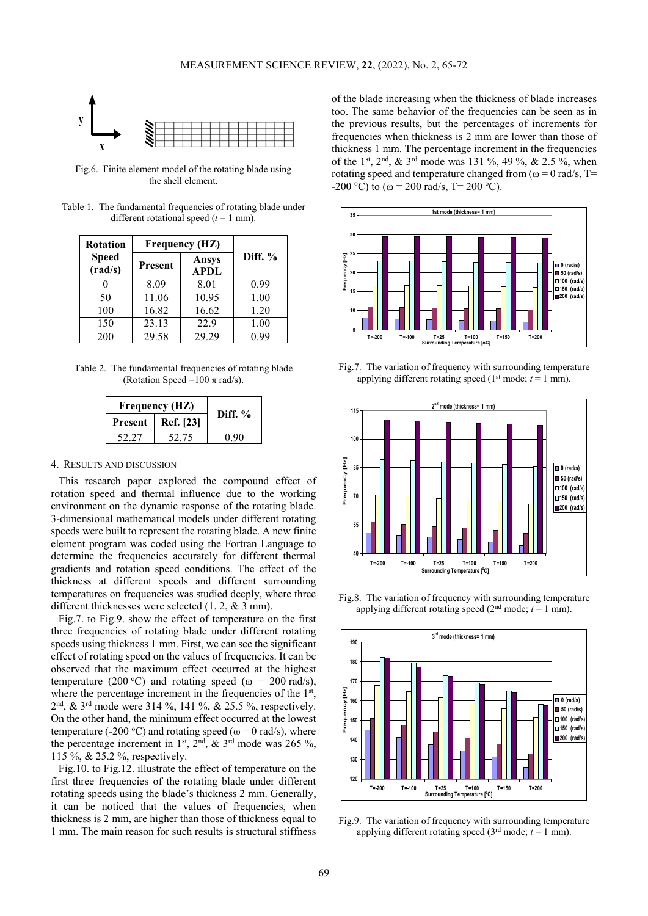

Fig.6. Finite element model of the rotating blade using the shell element.

Table 1. The fundamental frequencies of rotating blade under different rotational speed  $(t = 1$  mm).

| <b>Rotation</b>         | <b>Frequency (HZ)</b> |                             |           |
|-------------------------|-----------------------|-----------------------------|-----------|
| <b>Speed</b><br>(rad/s) | Present               | <b>Ansys</b><br><b>APDL</b> | Diff. $%$ |
|                         | 8.09                  | 8.01                        | 0.99      |
| 50                      | 11.06                 | 10.95                       | 1.00      |
| 100                     | 16.82                 | 16.62                       | 1.20      |
| 150                     | 23.13                 | 22.9                        | 1.00      |
| 200                     | 29.58                 | 29 29                       | N 99      |

Table 2. The fundamental frequencies of rotating blade (Rotation Speed =100  $\pi$  rad/s).

| <b>Frequency (HZ)</b> | Diff. $%$ |  |
|-----------------------|-----------|--|
| <b>Present</b>        | Ref. [23] |  |
| 52.27                 | 52.75     |  |

## 4. RESULTS AND DISCUSSION

This research paper explored the compound effect of rotation speed and thermal influence due to the working environment on the dynamic response of the rotating blade. 3-dimensional mathematical models under different rotating speeds were built to represent the rotating blade. A new finite element program was coded using the Fortran Language to determine the frequencies accurately for different thermal gradients and rotation speed conditions. The effect of the thickness at different speeds and different surrounding temperatures on frequencies was studied deeply, where three different thicknesses were selected (1, 2, & 3 mm).

Fig.7. to Fig.9. show the effect of temperature on the first three frequencies of rotating blade under different rotating speeds using thickness 1 mm. First, we can see the significant effect of rotating speed on the values of frequencies. It can be observed that the maximum effect occurred at the highest temperature (200 °C) and rotating speed ( $\omega = 200$  rad/s), where the percentage increment in the frequencies of the 1<sup>st</sup>, 2nd, & 3rd mode were 314 %, 141 %, & 25.5 %, respectively. On the other hand, the minimum effect occurred at the lowest temperature (-200 °C) and rotating speed ( $\omega$  = 0 rad/s), where the percentage increment in 1<sup>st</sup>,  $2<sup>nd</sup>$ ,  $\&$  3<sup>rd</sup> mode was 265 %, 115 %, & 25.2 %, respectively.

Fig.10. to Fig.12. illustrate the effect of temperature on the first three frequencies of the rotating blade under different rotating speeds using the blade's thickness 2 mm. Generally, it can be noticed that the values of frequencies, when thickness is 2 mm, are higher than those of thickness equal to 1 mm. The main reason for such results is structural stiffness of the blade increasing when the thickness of blade increases too. The same behavior of the frequencies can be seen as in the previous results, but the percentages of increments for frequencies when thickness is 2 mm are lower than those of thickness 1 mm. The percentage increment in the frequencies of the 1<sup>st</sup>, 2<sup>nd</sup>, & 3<sup>rd</sup> mode was 131 %, 49 %, & 2.5 %, when rotating speed and temperature changed from ( $\omega = 0$  rad/s, T= -200 °C) to ( $\omega$  = 200 rad/s, T= 200 °C).



Fig.7. The variation of frequency with surrounding temperature applying different rotating speed  $(1<sup>st</sup> mode; t = 1 mm)$ .



Fig.8. The variation of frequency with surrounding temperature applying different rotating speed  $(2<sup>nd</sup> mode; t = 1 mm)$ .



Fig.9. The variation of frequency with surrounding temperature applying different rotating speed ( $3<sup>rd</sup>$  mode;  $t = 1$  mm).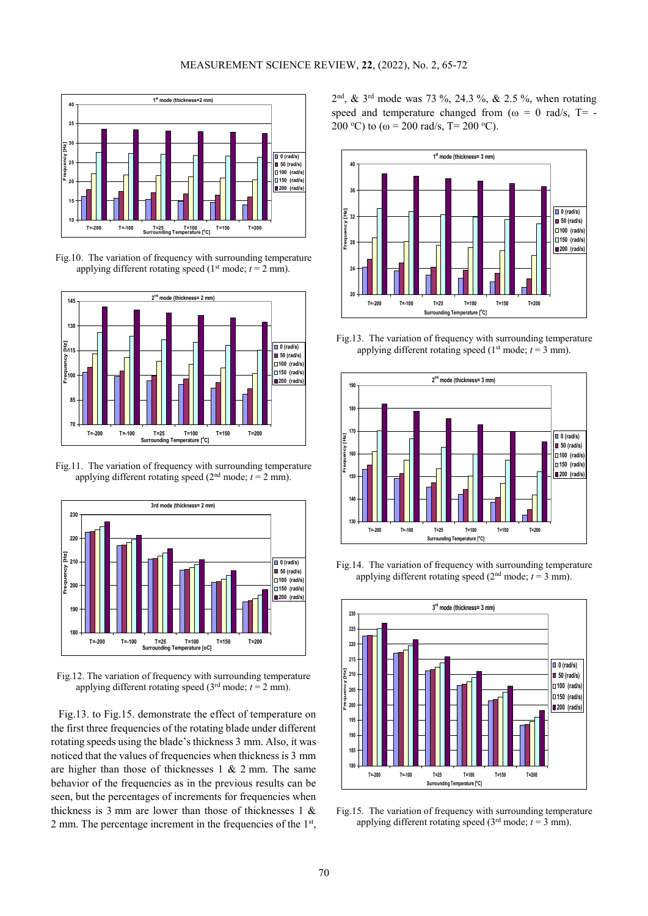

Fig.10. The variation of frequency with surrounding temperature applying different rotating speed ( $1<sup>st</sup>$  mode;  $t = 2$  mm).



Fig.11. The variation of frequency with surrounding temperature applying different rotating speed  $(2<sup>nd</sup> mode; t = 2 mm)$ .



Fig.12. The variation of frequency with surrounding temperature applying different rotating speed ( $3<sup>rd</sup>$  mode;  $t = 2$  mm).

Fig.13. to Fig.15. demonstrate the effect of temperature on the first three frequencies of the rotating blade under different rotating speeds using the blade's thickness 3 mm. Also, it was noticed that the values of frequencies when thickness is 3 mm are higher than those of thicknesses  $1 \& 2 \text{ mm}$ . The same behavior of the frequencies as in the previous results can be seen, but the percentages of increments for frequencies when thickness is 3 mm are lower than those of thicknesses 1 & 2 mm. The percentage increment in the frequencies of the  $1<sup>st</sup>$ ,  $2<sup>nd</sup>$ , &  $3<sup>rd</sup>$  mode was 73 %, 24.3 %, & 2.5 %, when rotating speed and temperature changed from ( $\omega = 0$  rad/s, T= -200 °C) to ( $\omega$  = 200 rad/s, T= 200 °C).



Fig.13. The variation of frequency with surrounding temperature applying different rotating speed ( $1<sup>st</sup>$  mode;  $t = 3$  mm).



Fig.14. The variation of frequency with surrounding temperature applying different rotating speed ( $2<sup>nd</sup>$  mode;  $t = 3$  mm).



Fig.15. The variation of frequency with surrounding temperature applying different rotating speed  $(3<sup>rd</sup> mode; t = 3 mm)$ .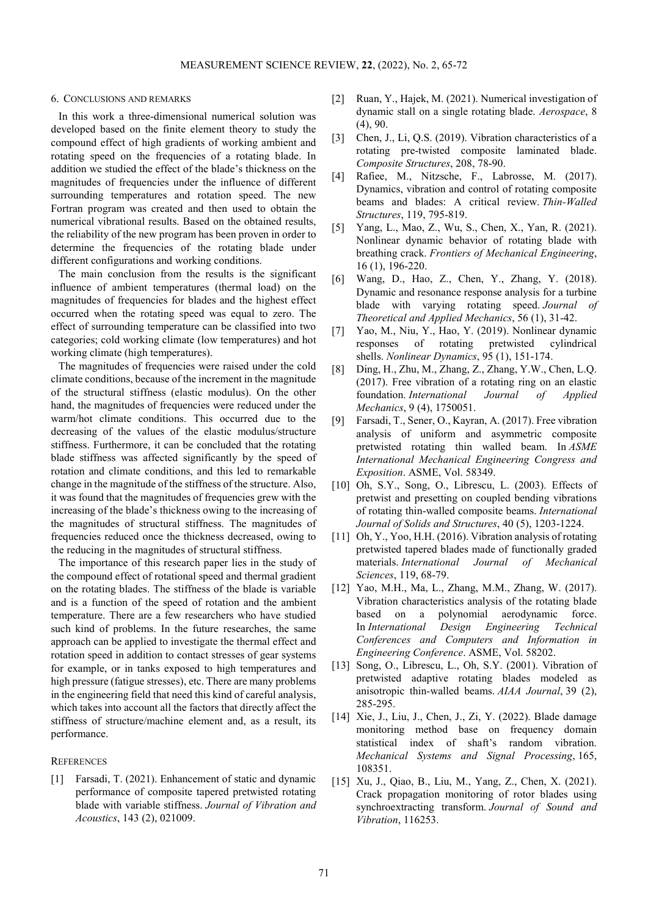# 6. CONCLUSIONS AND REMARKS

In this work a three-dimensional numerical solution was developed based on the finite element theory to study the compound effect of high gradients of working ambient and rotating speed on the frequencies of a rotating blade. In addition we studied the effect of the blade's thickness on the magnitudes of frequencies under the influence of different surrounding temperatures and rotation speed. The new Fortran program was created and then used to obtain the numerical vibrational results. Based on the obtained results, the reliability of the new program has been proven in order to determine the frequencies of the rotating blade under different configurations and working conditions.

The main conclusion from the results is the significant influence of ambient temperatures (thermal load) on the magnitudes of frequencies for blades and the highest effect occurred when the rotating speed was equal to zero. The effect of surrounding temperature can be classified into two categories; cold working climate (low temperatures) and hot working climate (high temperatures).

The magnitudes of frequencies were raised under the cold climate conditions, because of the increment in the magnitude of the structural stiffness (elastic modulus). On the other hand, the magnitudes of frequencies were reduced under the warm/hot climate conditions. This occurred due to the decreasing of the values of the elastic modulus/structure stiffness. Furthermore, it can be concluded that the rotating blade stiffness was affected significantly by the speed of rotation and climate conditions, and this led to remarkable change in the magnitude of the stiffness of the structure. Also, it was found that the magnitudes of frequencies grew with the increasing of the blade's thickness owing to the increasing of the magnitudes of structural stiffness. The magnitudes of frequencies reduced once the thickness decreased, owing to the reducing in the magnitudes of structural stiffness.

The importance of this research paper lies in the study of the compound effect of rotational speed and thermal gradient on the rotating blades. The stiffness of the blade is variable and is a function of the speed of rotation and the ambient temperature. There are a few researchers who have studied such kind of problems. In the future researches, the same approach can be applied to investigate the thermal effect and rotation speed in addition to contact stresses of gear systems for example, or in tanks exposed to high temperatures and high pressure (fatigue stresses), etc. There are many problems in the engineering field that need this kind of careful analysis, which takes into account all the factors that directly affect the stiffness of structure/machine element and, as a result, its performance.

# **REFERENCES**

[1] Farsadi, T. (2021). Enhancement of static and dynamic performance of composite tapered pretwisted rotating blade with variable stiffness. *Journal of Vibration and Acoustics*, 143 (2), 021009.

- [2] Ruan, Y., Hajek, M. (2021). Numerical investigation of dynamic stall on a single rotating blade. *Aerospace*, 8 (4), 90.
- [3] Chen, J., Li, Q.S. (2019). Vibration characteristics of a rotating pre-twisted composite laminated blade. *Composite Structures*, 208, 78-90.
- [4] Rafiee, M., Nitzsche, F., Labrosse, M. (2017). Dynamics, vibration and control of rotating composite beams and blades: A critical review. *Thin-Walled Structures*, 119, 795-819.
- [5] Yang, L., Mao, Z., Wu, S., Chen, X., Yan, R. (2021). Nonlinear dynamic behavior of rotating blade with breathing crack. *Frontiers of Mechanical Engineering*, 16 (1), 196-220.
- [6] Wang, D., Hao, Z., Chen, Y., Zhang, Y. (2018). Dynamic and resonance response analysis for a turbine blade with varying rotating speed. *Journal of Theoretical and Applied Mechanics*, 56 (1), 31-42.
- [7] Yao, M., Niu, Y., Hao, Y. (2019). Nonlinear dynamic responses of rotating pretwisted cylindrical shells. *Nonlinear Dynamics*, 95 (1), 151-174.
- [8] Ding, H., Zhu, M., Zhang, Z., Zhang, Y.W., Chen, L.Q. (2017). Free vibration of a rotating ring on an elastic foundation. *International Journal of Applied Mechanics*, 9 (4), 1750051.
- [9] Farsadi, T., Sener, O., Kayran, A. (2017). Free vibration analysis of uniform and asymmetric composite pretwisted rotating thin walled beam. In *ASME International Mechanical Engineering Congress and Exposition*. ASME, Vol. 58349.
- [10] Oh, S.Y., Song, O., Librescu, L. (2003). Effects of pretwist and presetting on coupled bending vibrations of rotating thin-walled composite beams. *International Journal of Solids and Structures*, 40 (5), 1203-1224.
- [11] Oh, Y., Yoo, H.H. (2016). Vibration analysis of rotating pretwisted tapered blades made of functionally graded materials. *International Journal of Mechanical Sciences*, 119, 68-79.
- [12] Yao, M.H., Ma, L., Zhang, M.M., Zhang, W. (2017). Vibration characteristics analysis of the rotating blade based on a polynomial aerodynamic force. In *International Design Engineering Technical Conferences and Computers and Information in Engineering Conference*. ASME, Vol. 58202.
- [13] Song, O., Librescu, L., Oh, S.Y. (2001). Vibration of pretwisted adaptive rotating blades modeled as anisotropic thin-walled beams. *AIAA Journal*, 39 (2), 285-295.
- [14] Xie, J., Liu, J., Chen, J., Zi, Y. (2022). Blade damage monitoring method base on frequency domain statistical index of shaft's random vibration. *Mechanical Systems and Signal Processing*, 165, 108351.
- [15] Xu, J., Qiao, B., Liu, M., Yang, Z., Chen, X. (2021). Crack propagation monitoring of rotor blades using synchroextracting transform. *Journal of Sound and Vibration*, 116253.